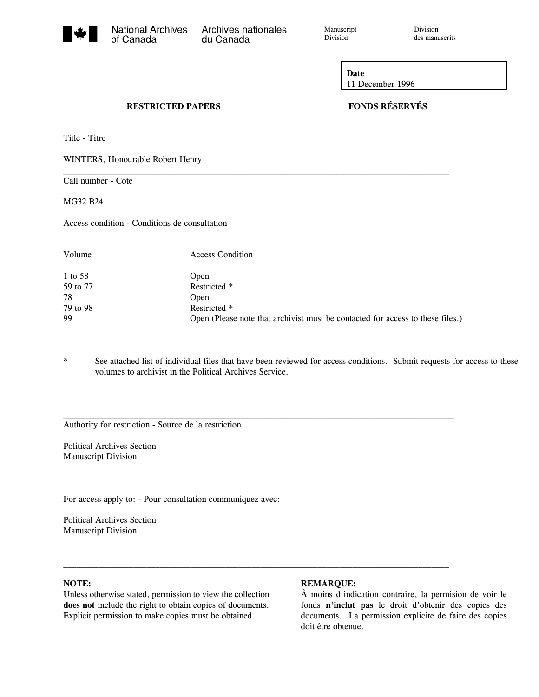Archives nationales

Manuscript Division<br>Division des manu

des manuscrits

**Date** 11 December 1996

# **RESTRICTED PAPERS FONDS RÉSERVÉS**

Title - Titre

WINTERS, Honourable Robert Henry

Call number - Cote

MG32 B24

Access condition - Conditions de consultation

| 1 to 58<br>Open<br>59 to 77<br>Restricted *                                          |  |
|--------------------------------------------------------------------------------------|--|
|                                                                                      |  |
|                                                                                      |  |
| 78<br>Open                                                                           |  |
| 79 to 98<br>Restricted *                                                             |  |
| 99<br>Open (Please note that archivist must be contacted for access to these files.) |  |

 $\mathcal{L}_\text{max}$ 

 $\mathcal{L}_\text{max}$ 

 $\mathcal{L}_\text{max}$ 

 $\mathcal{L}_\text{max}$ 

du Canada

 $\mathcal{L}_\text{max}$ 

\* See attached list of individual files that have been reviewed for access conditions. Submit requests for access to these volumes to archivist in the Political Archives Service.

Authority for restriction - Source de la restriction

Political Archives Section Manuscript Division

For access apply to: - Pour consultation communiquez avec:

Political Archives Section Manuscript Division

### **NOTE:**

Unless otherwise stated, permission to view the collection **does not** include the right to obtain copies of documents. Explicit permission to make copies must be obtained.

#### **REMARQUE:**

À moins d'indication contraire, la permision de voir le fonds **n'inclut pas** le droit d'obtenir des copies des documents. La permission explicite de faire des copies doit être obtenue.